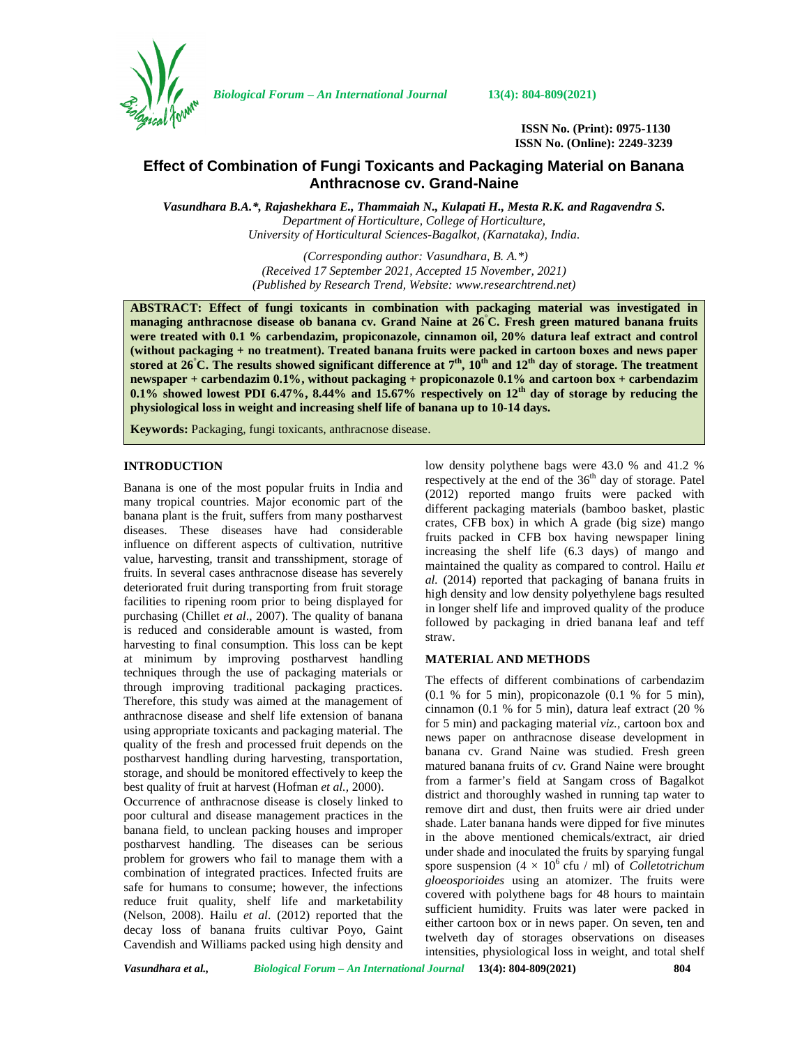

*Biological Forum – An International Journal* **13(4): 804-809(2021)**

**ISSN No. (Print): 0975-1130 ISSN No. (Online): 2249-3239**

# **Effect of Combination of Fungi Toxicants and Packaging Material on Banana Anthracnose cv. Grand-Naine**

*Vasundhara B.A.\*, Rajashekhara E., Thammaiah N., Kulapati H., Mesta R.K. and Ragavendra S. Department of Horticulture, College of Horticulture, University of Horticultural Sciences-Bagalkot, (Karnataka), India*.

> *(Corresponding author: Vasundhara, B. A.\*) (Received 17 September 2021, Accepted 15 November, 2021) (Published by Research Trend, Website: [www.researchtrend.net\)](www.researchtrend.net)*

**ABSTRACT: Effect of fungi toxicants in combination with packaging material was investigated in managing anthracnose disease ob banana cv. Grand Naine at 26°C. Fresh green matured banana fruits were treated with 0.1 % carbendazim, propiconazole, cinnamon oil, 20% datura leaf extract and control (without packaging + no treatment). Treated banana fruits were packed in cartoon boxes and news paper stored at 26°C. The results showed significant difference at 7th, 10th and 12th day of storage. The treatment newspaper + carbendazim 0.1%, without packaging + propiconazole 0.1% and cartoon box + carbendazim 0.1% showed lowest PDI 6.47%, 8.44% and 15.67% respectively on 12th day of storage by reducing the physiological loss in weight and increasing shelf life of banana up to 10-14 days.**

**Keywords:** Packaging, fungi toxicants, anthracnose disease.

### **INTRODUCTION**

Banana is one of the most popular fruits in India and many tropical countries. Major economic part of the banana plant is the fruit, suffers from many postharvest diseases. These diseases have had considerable influence on different aspects of cultivation, nutritive value, harvesting, transit and transshipment, storage of fruits. In several cases anthracnose disease has severely deteriorated fruit during transporting from fruit storage facilities to ripening room prior to being displayed for purchasing (Chillet *et al*., 2007). The quality of banana is reduced and considerable amount is wasted, from harvesting to final consumption. This loss can be kept at minimum by improving postharvest handling techniques through the use of packaging materials or through improving traditional packaging practices. Therefore, this study was aimed at the management of anthracnose disease and shelf life extension of banana using appropriate toxicants and packaging material. The quality of the fresh and processed fruit depends on the postharvest handling during harvesting, transportation, storage, and should be monitored effectively to keep the best quality of fruit at harvest (Hofman *et al.,* 2000).

Occurrence of anthracnose disease is closely linked to poor cultural and disease management practices in the banana field, to unclean packing houses and improper postharvest handling. The diseases can be serious problem for growers who fail to manage them with a combination of integrated practices. Infected fruits are safe for humans to consume; however, the infections reduce fruit quality, shelf life and marketability (Nelson, 2008). Hailu *et al*. (2012) reported that the decay loss of banana fruits cultivar Poyo, Gaint Cavendish and Williams packed using high density and low density polythene bags were 43.0 % and 41.2 % respectively at the end of the  $36<sup>th</sup>$  day of storage. Patel (2012) reported mango fruits were packed with different packaging materials (bamboo basket, plastic crates, CFB box) in which A grade (big size) mango fruits packed in CFB box having newspaper lining increasing the shelf life (6.3 days) of mango and maintained the quality as compared to control. Hailu *et al.* (2014) reported that packaging of banana fruits in high density and low density polyethylene bags resulted in longer shelf life and improved quality of the produce followed by packaging in dried banana leaf and teff straw.

#### **MATERIAL AND METHODS**

The effects of different combinations of carbendazim (0.1 % for 5 min), propiconazole (0.1 % for 5 min), cinnamon (0.1 % for 5 min), datura leaf extract (20 % for 5 min) and packaging material *viz.,* cartoon box and news paper on anthracnose disease development in banana cv. Grand Naine was studied. Fresh green matured banana fruits of *cv.* Grand Naine were brought from a farmer's field at Sangam cross of Bagalkot district and thoroughly washed in running tap water to remove dirt and dust, then fruits were air dried under shade. Later banana hands were dipped for five minutes in the above mentioned chemicals/extract, air dried under shade and inoculated the fruits by sparying fungal spore suspension  $(4 \times 10^6 \text{ cftu } / \text{ ml})$  of *Colletotrichum gloeosporioides* using an atomizer. The fruits were covered with polythene bags for 48 hours to maintain sufficient humidity. Fruits was later were packed in either cartoon box or in news paper. On seven, ten and twelveth day of storages observations on diseases intensities, physiological loss in weight, and total shelf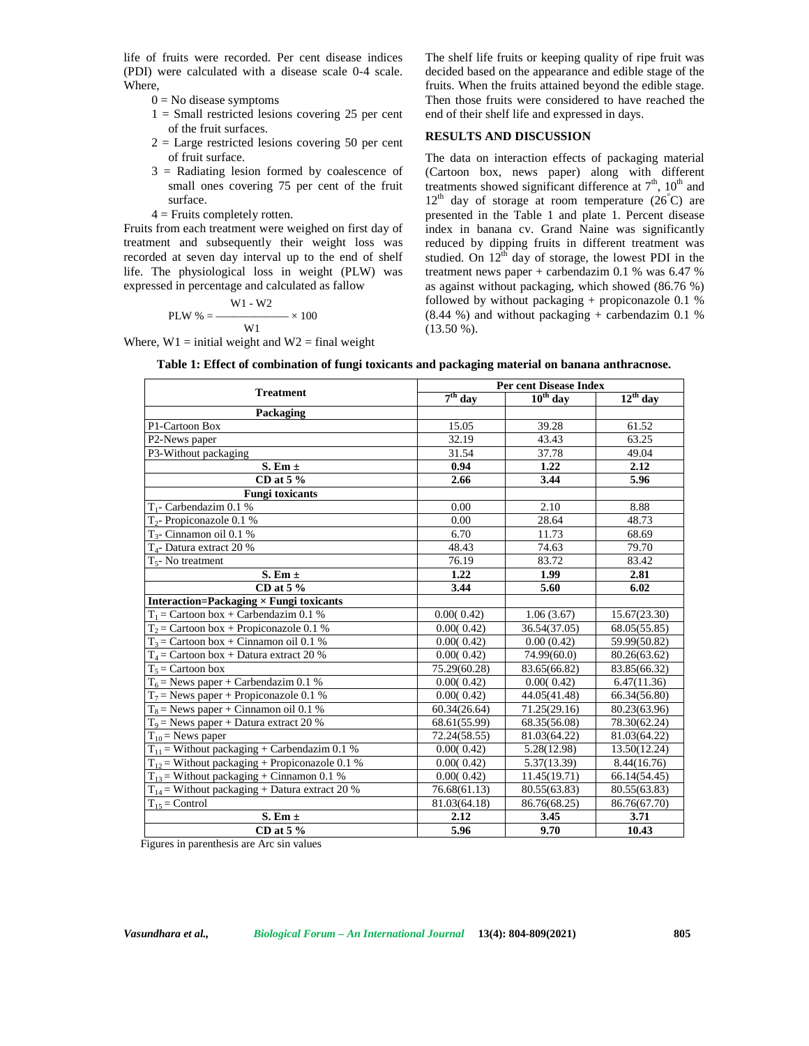life of fruits were recorded. Per cent disease indices (PDI) were calculated with a disease scale 0-4 scale. Where,

- $0 = No$  disease symptoms
- $1 =$  Small restricted lesions covering 25 per cent of the fruit surfaces.
- $2 =$  Large restricted lesions covering 50 per cent of fruit surface.
- 3 = Radiating lesion formed by coalescence of small ones covering 75 per cent of the fruit surface.
- $4$  = Fruits completely rotten.

Fruits from each treatment were weighed on first day of treatment and subsequently their weight loss was recorded at seven day interval up to the end of shelf life. The physiological loss in weight (PLW) was expressed in percentage and calculated as fallow

$$
PLW % = \frac{W1 - W2}{W1} \times 100
$$

Where,  $W1 =$  initial weight and  $W2 =$  final weight

The shelf life fruits or keeping quality of ripe fruit was decided based on the appearance and edible stage of the fruits. When the fruits attained beyond the edible stage. Then those fruits were considered to have reached the end of their shelf life and expressed in days.

# **RESULTS AND DISCUSSION**

The data on interaction effects of packaging material (Cartoon box, news paper) along with different treatments showed significant difference at  $7<sup>th</sup>$ ,  $10<sup>th</sup>$  and  $12<sup>th</sup>$  day of storage at room temperature (26°C) are presented in the Table 1 and plate 1. Percent disease index in banana cv. Grand Naine was significantly reduced by dipping fruits in different treatment was studied. On  $12^{th}$  day of storage, the lowest PDI in the treatment news paper + carbendazim 0.1 % was 6.47 % as against without packaging, which showed (86.76 %) followed by without packaging  $+$  propiconazole 0.1 %  $(8.44 \%)$  and without packaging + carbendazim 0.1 %  $(13.50\%).$ 

| Table 1: Effect of combination of fungi toxicants and packaging material on banana anthracnose. |  |
|-------------------------------------------------------------------------------------------------|--|
|-------------------------------------------------------------------------------------------------|--|

| <b>Treatment</b>                                   |              | <b>Per cent Disease Index</b> |               |  |
|----------------------------------------------------|--------------|-------------------------------|---------------|--|
|                                                    | $7th$ day    | $10th$ day                    | $12^{th}$ day |  |
| Packaging                                          |              |                               |               |  |
| P1-Cartoon Box                                     | 15.05        | 39.28                         | 61.52         |  |
| P2-News paper                                      | 32.19        | 43.43                         | 63.25         |  |
| P3-Without packaging                               | 31.54        | 37.78                         | 49.04         |  |
| S. Em $\pm$                                        | 0.94         | 1.22                          | 2.12          |  |
| CD at $5\%$                                        | 2.66         | 3.44                          | 5.96          |  |
| <b>Fungi toxicants</b>                             |              |                               |               |  |
| $T_1$ - Carbendazim 0.1 %                          | 0.00         | 2.10                          | 8.88          |  |
| $T_2$ - Propiconazole 0.1 %                        | 0.00         | 28.64                         | 48.73         |  |
| $T_{3}$ - Cinnamon oil 0.1 %                       | 6.70         | 11.73                         | 68.69         |  |
| $T4$ - Datura extract 20 %                         | 48.43        | 74.63                         | 79.70         |  |
| $T_{5}$ - No treatment                             | 76.19        | 83.72                         | 83.42         |  |
| S. Em $\pm$                                        | 1.22         | 1.99                          | 2.81          |  |
| CD at $5\%$                                        | 3.44         | 5.60                          | 6.02          |  |
| Interaction=Packaging $\times$ Fungi toxicants     |              |                               |               |  |
| $T_1$ = Cartoon box + Carbendazim 0.1 %            | 0.00(0.42)   | 1.06(3.67)                    | 15.67(23.30)  |  |
| $T_2$ = Cartoon box + Propiconazole 0.1 %          | 0.00(0.42)   | 36.54(37.05)                  | 68.05(55.85)  |  |
| $T_3$ = Cartoon box + Cinnamon oil 0.1 %           | 0.00(0.42)   | 0.00(0.42)                    | 59.99(50.82)  |  |
| $T_4$ = Cartoon box + Datura extract 20 %          | 0.00(0.42)   | 74.99(60.0)                   | 80.26(63.62)  |  |
| $T_5$ = Cartoon box                                | 75.29(60.28) | 83.65(66.82)                  | 83.85(66.32)  |  |
| $T_6$ = News paper + Carbendazim 0.1 %             | 0.00(0.42)   | 0.00(0.42)                    | 6.47(11.36)   |  |
| $T_7$ = News paper + Propiconazole 0.1 %           | 0.00(0.42)   | 44.05(41.48)                  | 66.34(56.80)  |  |
| $T_8$ = News paper + Cinnamon oil 0.1 %            | 60.34(26.64) | 71.25(29.16)                  | 80.23(63.96)  |  |
| $T_9$ = News paper + Datura extract 20 %           | 68.61(55.99) | 68.35(56.08)                  | 78.30(62.24)  |  |
| $T_{10}$ = News paper                              | 72.24(58.55) | 81.03(64.22)                  | 81.03(64.22)  |  |
| $T_{11}$ = Without packaging + Carbendazim 0.1 %   | 0.00(0.42)   | 5.28(12.98)                   | 13.50(12.24)  |  |
| $T_{12}$ = Without packaging + Propiconazole 0.1 % | 0.00(0.42)   | 5.37(13.39)                   | 8.44(16.76)   |  |
| $T_{13}$ = Without packaging + Cinnamon 0.1 %      | 0.00(0.42)   | 11.45(19.71)                  | 66.14(54.45)  |  |
| $T_{14}$ = Without packaging + Datura extract 20 % | 76.68(61.13) | 80.55(63.83)                  | 80.55(63.83)  |  |
| $T_{15}$ = Control                                 | 81.03(64.18) | 86.76(68.25)                  | 86.76(67.70)  |  |
| S. Em $\pm$                                        | 2.12         | 3.45                          | 3.71          |  |
| CD at $5\%$                                        | 5.96         | 9.70                          | 10.43         |  |

Figures in parenthesis are Arc sin values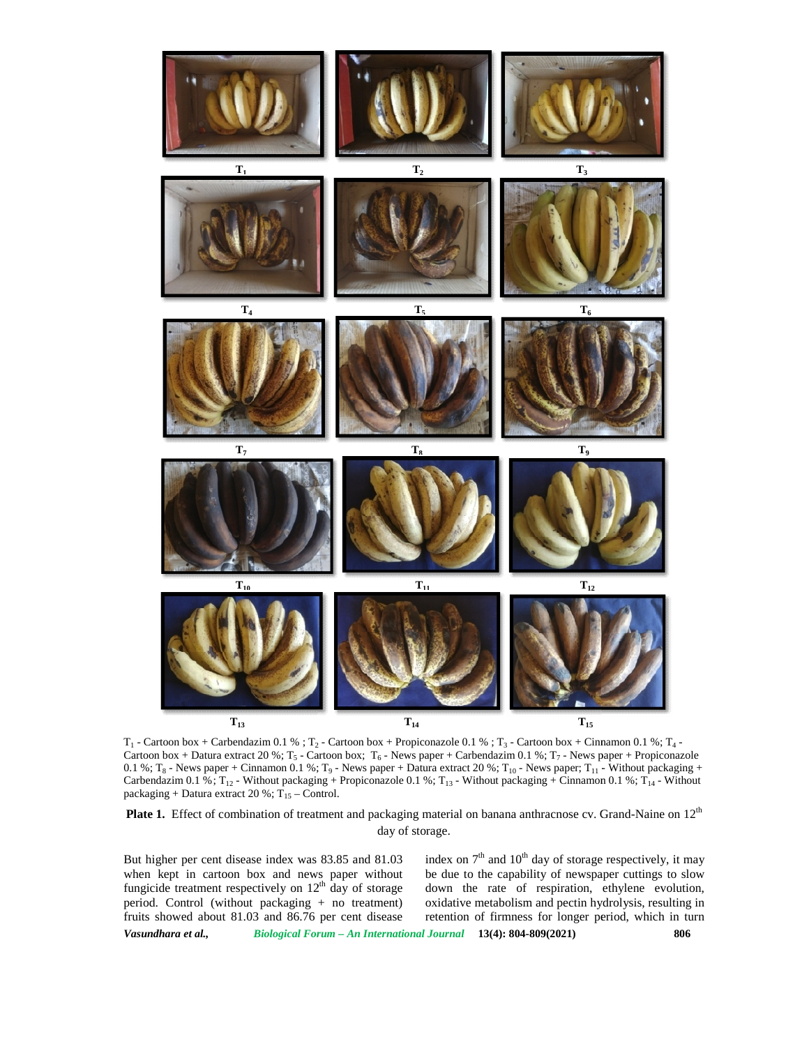

 $T_1$  - Cartoon box + Carbendazim 0.1 % ;  $T_2$  - Cartoon box + Propiconazole 0.1 % ;  $T_3$  - Cartoon box + Cinnamon 0.1 %;  $T_4$  - $T_1$  - Cartoon box + Carbendazim 0.1 % ;  $T_2$  - Cartoon box + Propiconazole 0.1 % ;  $T_3$  - Cartoon box + Cinnamon 0.1 %;  $T_4$  -<br>Cartoon box + Datura extract 20 %;  $T_5$  - Cartoon box;  $T_6$  - News paper + Carbendazim 0.1 %;  $T_8$  - News paper + Cinnamon 0.1 %;  $T_9$  - News paper + Datura extract 20 %;  $T_{10}$  - News paper;  $T_{11}$  - Without packaging + Carbendazim 0.1 %;  $T_{12}$  - Without packaging + Propiconazole 0.1 %;  $T_{13}$  - Without packaging + Cinnamon 0.1 %;  $T_{14}$  - Without packaging + Datura extract 20 %;  $T_{15}$  – Control. packaging + Datura extract 20 %;  $T_{15}$  – Control. T<sub>1</sub> - Cartoon box + Carbendazim 0.1 %; T<sub>2</sub> - Cartoon box + Propiconazole 0.1 %; T<sub>3</sub> - Cartoon box + Cinnamon 0.1 %; T<sub>4</sub> - Cartoon box + Dinnamon 0.1 %; T<sub>6</sub> - News paper + Cinnamon 0.1 %; T<sub>6</sub> - News paper + Plate act

**Plate 1.** Effect of combination of treatment and packaging material on banana anthracnose cv. Grand-Naine on  $12^{\text{th}}$  day of storage.<br>But higher per cent disease index was 83.85 and 81.03 index on  $7^{\text{th}}$  and  $10^{\text{$ day of storage.

*Vasundhara et al., Biological Forum – An International Journal* **13(4): 804-809(2021) 806** But higher per cent disease index was 83.85 and 81.03 when kept in cartoon box and news paper without fungicide treatment respectively on  $12<sup>th</sup>$  day of storage period. Control (without packaging + no treatment) fruits showed about 81.03 and 86.76 per cent disease

index on  $7<sup>th</sup>$  and  $10<sup>th</sup>$  day of storage respectively, it may be due to the capability of newspaper cuttings to slow down the rate of respiration, ethylene evolution, oxidative metabolism and pectin hydrolysis, resulting in retention of firmness for longer period, which in turn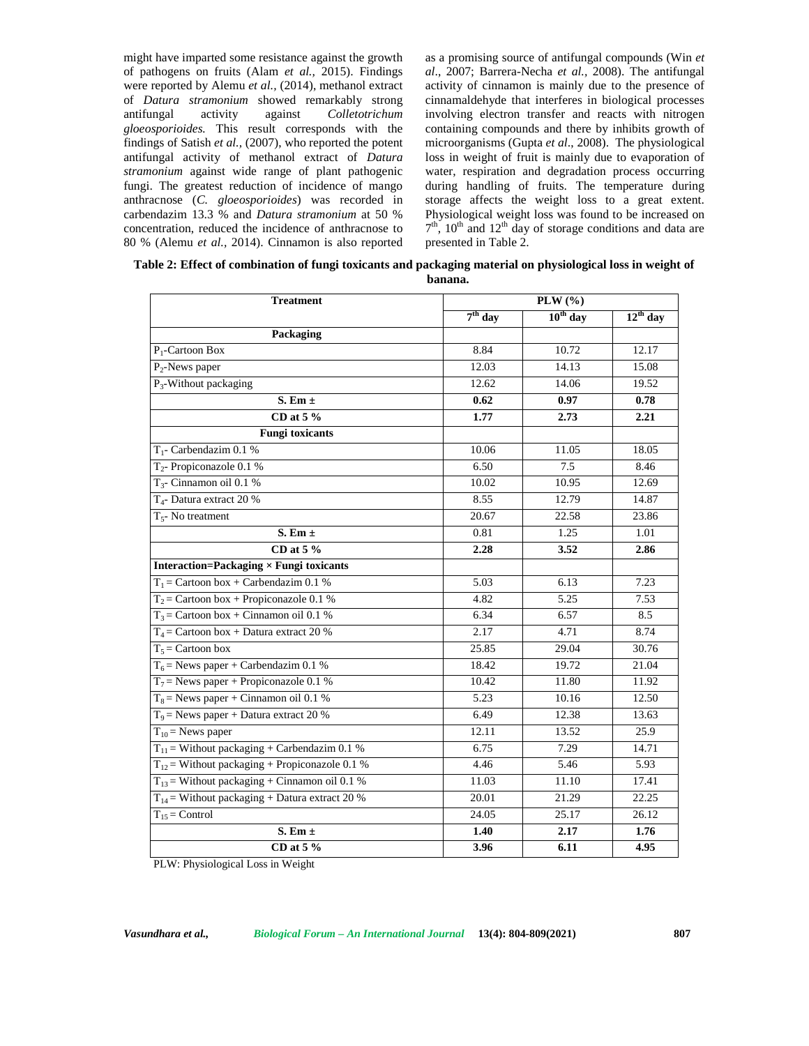might have imparted some resistance against the growth of pathogens on fruits (Alam *et al.,* 2015). Findings were reported by Alemu *et al.,* (2014), methanol extract of *Datura stramonium* showed remarkably strong antifungal activity against *Colletotrichum gloeosporioides.* This result corresponds with the findings of Satish *et al.,* (2007), who reported the potent antifungal activity of methanol extract of *Datura stramonium* against wide range of plant pathogenic fungi. The greatest reduction of incidence of mango anthracnose (*C. gloeosporioides*) was recorded in carbendazim 13.3 % and *Datura stramonium* at 50 % concentration, reduced the incidence of anthracnose to 80 % (Alemu *et al.,* 2014). Cinnamon is also reported as a promising source of antifungal compounds (Win *et al*., 2007; Barrera-Necha *et al.,* 2008). The antifungal activity of cinnamon is mainly due to the presence of cinnamaldehyde that interferes in biological processes involving electron transfer and reacts with nitrogen containing compounds and there by inhibits growth of microorganisms (Gupta *et al*., 2008). The physiological loss in weight of fruit is mainly due to evaporation of water, respiration and degradation process occurring during handling of fruits. The temperature during storage affects the weight loss to a great extent. Physiological weight loss was found to be increased on  $7<sup>th</sup>$ ,  $10<sup>th</sup>$  and  $12<sup>th</sup>$  day of storage conditions and data are presented in Table 2.

**Table 2: Effect of combination of fungi toxicants and packaging material on physiological loss in weight of banana.**

| <b>Treatment</b>                                                 | PLW (%)   |               |               |
|------------------------------------------------------------------|-----------|---------------|---------------|
|                                                                  | $7th$ day | $10^{th}$ day | $12^{th}$ day |
| Packaging                                                        |           |               |               |
| $P_1$ -Cartoon Box                                               | 8.84      | 10.72         | 12.17         |
| $P_2$ -News paper                                                | 12.03     | 14.13         | 15.08         |
| P <sub>3</sub> -Without packaging                                | 12.62     | 14.06         | 19.52         |
| S. Em $\pm$                                                      | 0.62      | 0.97          | 0.78          |
| CD at 5 $%$                                                      | 1.77      | 2.73          | 2.21          |
| <b>Fungi toxicants</b>                                           |           |               |               |
| $T_1$ - Carbendazim 0.1 %                                        | 10.06     | 11.05         | 18.05         |
| $T_2$ - Propiconazole 0.1 %                                      | 6.50      | 7.5           | 8.46          |
| $T_3$ - Cinnamon oil 0.1 %                                       | 10.02     | 10.95         | 12.69         |
| $T_4$ - Datura extract 20 %                                      | 8.55      | 12.79         | 14.87         |
| $T5$ - No treatment                                              | 20.67     | 22.58         | 23.86         |
| $S. Em \pm$                                                      | 0.81      | 1.25          | 1.01          |
| CD at 5 $%$                                                      | 2.28      | 3.52          | 2.86          |
| <b>Interaction=Packaging <math>\times</math> Fungi toxicants</b> |           |               |               |
| $T_1$ = Cartoon box + Carbendazim 0.1 %                          | 5.03      | 6.13          | 7.23          |
| $T_2$ = Cartoon box + Propiconazole 0.1 %                        | 4.82      | 5.25          | 7.53          |
| $T_3$ = Cartoon box + Cinnamon oil 0.1 %                         | 6.34      | 6.57          | 8.5           |
| $T_4$ = Cartoon box + Datura extract 20 %                        | 2.17      | 4.71          | 8.74          |
| $T_5$ = Cartoon box                                              | 25.85     | 29.04         | 30.76         |
| $T_6$ = News paper + Carbendazim 0.1 %                           | 18.42     | 19.72         | 21.04         |
| $T_7$ = News paper + Propiconazole 0.1 %                         | 10.42     | 11.80         | 11.92         |
| $T_8$ = News paper + Cinnamon oil 0.1 %                          | 5.23      | 10.16         | 12.50         |
| $T_9$ = News paper + Datura extract 20 %                         | 6.49      | 12.38         | 13.63         |
| $T_{10}$ = News paper                                            | 12.11     | 13.52         | 25.9          |
| $T_{11}$ = Without packaging + Carbendazim 0.1 %                 | 6.75      | 7.29          | 14.71         |
| $T_{12}$ = Without packaging + Propiconazole 0.1 %               | 4.46      | 5.46          | 5.93          |
| $T_{13}$ = Without packaging + Cinnamon oil 0.1 %                | 11.03     | 11.10         | 17.41         |
| $T_{14}$ = Without packaging + Datura extract 20 %               | 20.01     | 21.29         | 22.25         |
| $T_{15}$ = Control                                               | 24.05     | 25.17         | 26.12         |
| S. Em $\pm$                                                      | 1.40      | 2.17          | 1.76          |
| CD at 5 $%$                                                      | 3.96      | 6.11          | 4.95          |

PLW: Physiological Loss in Weight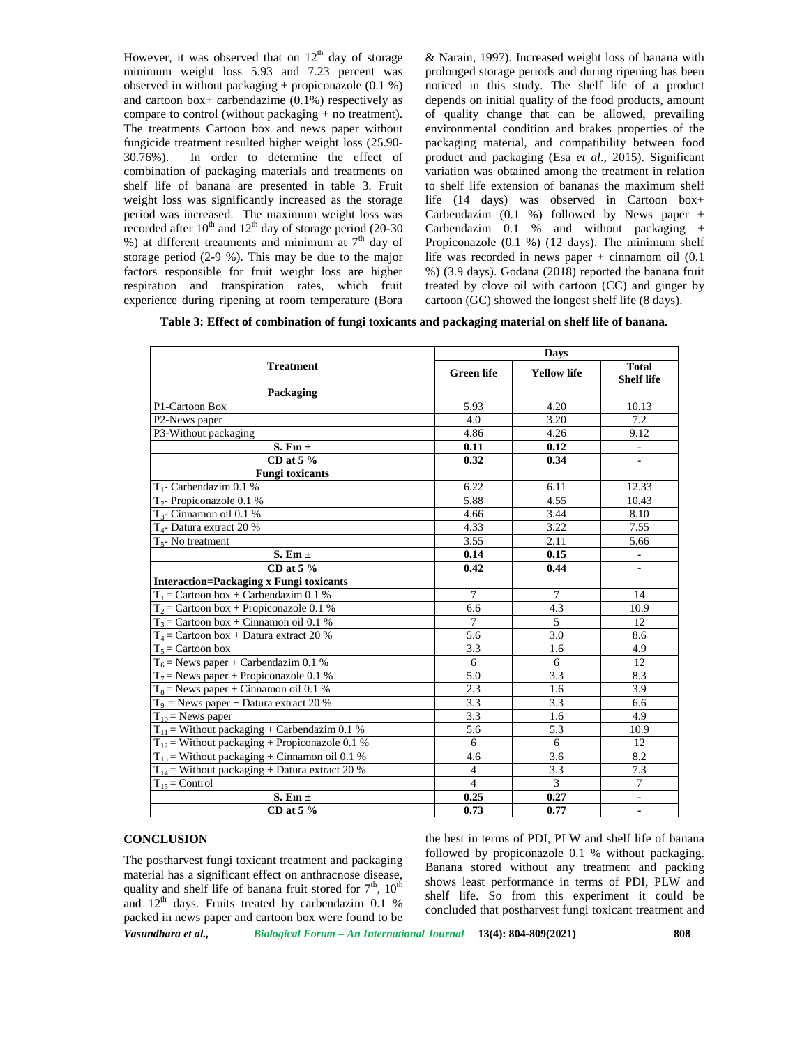However, it was observed that on  $12<sup>th</sup>$  day of storage minimum weight loss 5.93 and 7.23 percent was observed in without packaging + propiconazole (0.1 %) and cartoon box+ carbendazime (0.1%) respectively as compare to control (without packaging + no treatment). The treatments Cartoon box and news paper without fungicide treatment resulted higher weight loss (25.90- 30.76%). In order to determine the effect of combination of packaging materials and treatments on shelf life of banana are presented in table 3. Fruit weight loss was significantly increased as the storage period was increased. The maximum weight loss was recorded after  $10^{th}$  and  $12^{th}$  day of storage period (20-30) %) at different treatments and minimum at  $7<sup>th</sup>$  day of storage period (2-9 %). This may be due to the major factors responsible for fruit weight loss are higher respiration and transpiration rates, which fruit experience during ripening at room temperature (Bora

& Narain, 1997). Increased weight loss of banana with prolonged storage periods and during ripening has been noticed in this study. The shelf life of a product depends on initial quality of the food products, amount of quality change that can be allowed, prevailing environmental condition and brakes properties of the packaging material, and compatibility between food product and packaging (Esa *et al*., 2015). Significant variation was obtained among the treatment in relation to shelf life extension of bananas the maximum shelf life (14 days) was observed in Cartoon box+ Carbendazim  $(0.1 \%)$  followed by News paper + Carbendazim 0.1 % and without packaging + Propiconazole (0.1 %) (12 days). The minimum shelf life was recorded in news paper  $+$  cinnamom oil  $(0.1)$ %) (3.9 days). Godana (2018) reported the banana fruit treated by clove oil with cartoon (CC) and ginger by cartoon (GC) showed the longest shelf life (8 days).

**Table 3: Effect of combination of fungi toxicants and packaging material on shelf life of banana.**

| <b>Treatment</b>                                   | <b>Days</b>       |                    |                                   |
|----------------------------------------------------|-------------------|--------------------|-----------------------------------|
|                                                    | <b>Green</b> life | <b>Yellow life</b> | <b>Total</b><br><b>Shelf life</b> |
| Packaging                                          |                   |                    |                                   |
| P1-Cartoon Box                                     | 5.93              | 4.20               | 10.13                             |
| P2-News paper                                      | 4.0               | 3.20               | 7.2                               |
| P3-Without packaging                               | 4.86              | 4.26               | 9.12                              |
| $S. Em \pm$                                        | 0.11              | 0.12               | $\overline{\phantom{a}}$          |
| CD at $5\%$                                        | 0.32              | 0.34               |                                   |
| <b>Fungi</b> toxicants                             |                   |                    |                                   |
| $T_1$ - Carbendazim 0.1 %                          | 6.22              | 6.11               | 12.33                             |
| $T_2$ - Propiconazole 0.1 %                        | 5.88              | 4.55               | 10.43                             |
| $T_3$ - Cinnamon oil 0.1 %                         | 4.66              | 3.44               | 8.10                              |
| $T_4$ - Datura extract 20 %                        | 4.33              | 3.22               | 7.55                              |
| $T_{5}$ - No treatment                             | 3.55              | 2.11               | 5.66                              |
| S. Em $\pm$                                        | 0.14              | 0.15               | $\overline{\phantom{a}}$          |
| CD at $5\%$                                        | 0.42              | 0.44               | $\blacksquare$                    |
| <b>Interaction=Packaging x Fungi toxicants</b>     |                   |                    |                                   |
| $T_1$ = Cartoon box + Carbendazim 0.1 %            | $\overline{7}$    | $\tau$             | 14                                |
| $T_2$ = Cartoon box + Propiconazole 0.1 %          | 6.6               | 4.3                | 10.9                              |
| $T_3$ = Cartoon box + Cinnamon oil 0.1 %           | $\overline{7}$    | $\overline{5}$     | 12                                |
| $T_4$ = Cartoon box + Datura extract 20 %          | 5.6               | 3.0                | 8.6                               |
| $T_5$ = Cartoon box                                | 3.3               | 1.6                | 4.9                               |
| $T_6$ = News paper + Carbendazim 0.1 %             | 6                 | 6                  | 12                                |
| $T_7$ = News paper + Propiconazole 0.1 %           | 5.0               | 3.3                | 8.3                               |
| $T_8$ = News paper + Cinnamon oil 0.1 %            | 2.3               | 1.6                | 3.9                               |
| $T_9$ = News paper + Datura extract 20 %           | 3.3               | 3.3                | 6.6                               |
| $T_{10}$ = News paper                              | 3.3               | 1.6                | 4.9                               |
| $T_{11}$ = Without packaging + Carbendazim 0.1 %   | 5.6               | 5.3                | 10.9                              |
| $T_{12}$ = Without packaging + Propiconazole 0.1 % | 6                 | 6                  | 12                                |
| $T_{13}$ = Without packaging + Cinnamon oil 0.1 %  | 4.6               | 3.6                | 8.2                               |
| $T_{14}$ = Without packaging + Datura extract 20 % | $\overline{4}$    | 3.3                | 7.3                               |
| $T_{15}$ = Control                                 | $\overline{4}$    | $\overline{3}$     | $\tau$                            |
| S. Em $\pm$                                        | 0.25              | 0.27               | $\blacksquare$                    |
| CD at $5\%$                                        | 0.73              | 0.77               | $\blacksquare$                    |

# **CONCLUSION**

The postharvest fungi toxicant treatment and packaging material has a significant effect on anthracnose disease, quality and shelf life of banana fruit stored for  $7<sup>th</sup>$ ,  $10<sup>th</sup>$ and  $12<sup>th</sup>$  days. Fruits treated by carbendazim 0.1 % packed in news paper and cartoon box were found to be the best in terms of PDI, PLW and shelf life of banana followed by propiconazole 0.1 % without packaging. Banana stored without any treatment and packing shows least performance in terms of PDI, PLW and shelf life. So from this experiment it could be concluded that postharvest fungi toxicant treatment and

*Vasundhara et al., Biological Forum – An International Journal* **13(4): 804-809(2021) 808**